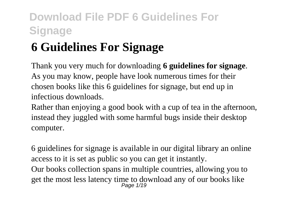# **6 Guidelines For Signage**

Thank you very much for downloading **6 guidelines for signage**. As you may know, people have look numerous times for their chosen books like this 6 guidelines for signage, but end up in infectious downloads.

Rather than enjoying a good book with a cup of tea in the afternoon, instead they juggled with some harmful bugs inside their desktop computer.

6 guidelines for signage is available in our digital library an online access to it is set as public so you can get it instantly. Our books collection spans in multiple countries, allowing you to get the most less latency time to download any of our books like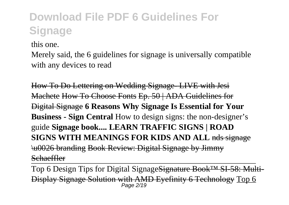this one.

Merely said, the 6 guidelines for signage is universally compatible with any devices to read

How To Do Lettering on Wedding Signage- LIVE with Jesi Machete How To Choose Fonts Ep. 50 | ADA Guidelines for Digital Signage **6 Reasons Why Signage Is Essential for Your Business - Sign Central** How to design signs: the non-designer's guide **Signage book.... LEARN TRAFFIC SIGNS | ROAD SIGNS WITH MEANINGS FOR KIDS AND ALL nds signage** \u0026 branding Book Review: Digital Signage by Jimmy **Schaeffler** 

Top 6 Design Tips for Digital SignageSignature Book™ SI-58: Multi-Display Signage Solution with AMD Eyefinity 6 Technology Top 6 Page 2/19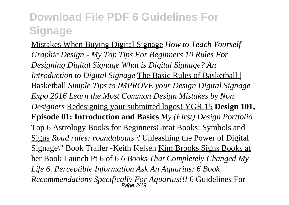Mistakes When Buying Digital Signage *How to Teach Yourself Graphic Design - My Top Tips For Beginners 10 Rules For Designing Digital Signage What is Digital Signage? An Introduction to Digital Signage* The Basic Rules of Basketball | Basketball *Simple Tips to IMPROVE your Design Digital Signage Expo 2016 Learn the Most Common Design Mistakes by Non Designers* Redesigning your submitted logos! YGR 15 **Design 101, Episode 01: Introduction and Basics** *My (First) Design Portfolio* Top 6 Astrology Books for BeginnersGreat Books: Symbols and Signs *Road rules: roundabouts* \"Unleashing the Power of Digital Signage\" Book Trailer -Keith Kelsen Kim Brooks Signs Books at her Book Launch Pt 6 of 6 *6 Books That Completely Changed My Life 6. Perceptible Information Ask An Aquarius: 6 Book Recommendations Specifically For Aquarius!!!* 6 Guidelines For Page 3/19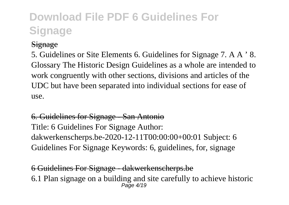### **Signage**

5. Guidelines or Site Elements 6. Guidelines for Signage 7. A A ' 8. Glossary The Historic Design Guidelines as a whole are intended to work congruently with other sections, divisions and articles of the UDC but have been separated into individual sections for ease of use.

### 6. Guidelines for Signage - San Antonio Title: 6 Guidelines For Signage Author: dakwerkenscherps.be-2020-12-11T00:00:00+00:01 Subject: 6 Guidelines For Signage Keywords: 6, guidelines, for, signage

6 Guidelines For Signage - dakwerkenscherps.be 6.1 Plan signage on a building and site carefully to achieve historic  $P$ age  $4/10$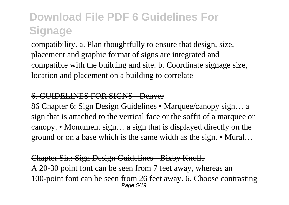compatibility. a. Plan thoughtfully to ensure that design, size, placement and graphic format of signs are integrated and compatible with the building and site. b. Coordinate signage size, location and placement on a building to correlate

#### 6. GUIDELINES FOR SIGNS - Denver

86 Chapter 6: Sign Design Guidelines • Marquee/canopy sign… a sign that is attached to the vertical face or the soffit of a marquee or canopy. • Monument sign… a sign that is displayed directly on the ground or on a base which is the same width as the sign. • Mural…

Chapter Six: Sign Design Guidelines - Bixby Knolls A 20-30 point font can be seen from 7 feet away, whereas an 100-point font can be seen from 26 feet away. 6. Choose contrasting Page 5/19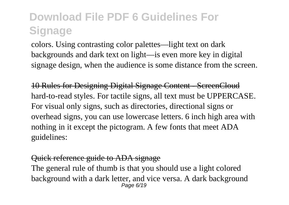colors. Using contrasting color palettes—light text on dark backgrounds and dark text on light—is even more key in digital signage design, when the audience is some distance from the screen.

10 Rules for Designing Digital Signage Content - ScreenCloud hard-to-read styles. For tactile signs, all text must be UPPERCASE. For visual only signs, such as directories, directional signs or overhead signs, you can use lowercase letters. 6 inch high area with nothing in it except the pictogram. A few fonts that meet ADA guidelines:

#### Quick reference guide to ADA signage

The general rule of thumb is that you should use a light colored background with a dark letter, and vice versa. A dark background Page 6/19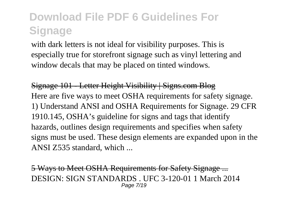with dark letters is not ideal for visibility purposes. This is especially true for storefront signage such as vinyl lettering and window decals that may be placed on tinted windows.

Signage 101 - Letter Height Visibility | Signs.com Blog Here are five ways to meet OSHA requirements for safety signage. 1) Understand ANSI and OSHA Requirements for Signage. 29 CFR 1910.145, OSHA's guideline for signs and tags that identify hazards, outlines design requirements and specifies when safety signs must be used. These design elements are expanded upon in the ANSI Z535 standard, which ...

5 Ways to Meet OSHA Requirements for Safety Signage ... DESIGN: SIGN STANDARDS . UFC 3-120-01 1 March 2014 Page 7/19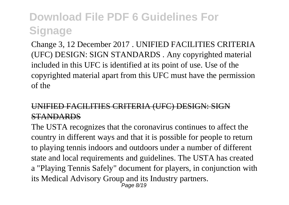Change 3, 12 December 2017 . UNIFIED FACILITIES CRITERIA (UFC) DESIGN: SIGN STANDARDS . Any copyrighted material included in this UFC is identified at its point of use. Use of the copyrighted material apart from this UFC must have the permission of the

### UNIFIED FACILITIES CRITERIA (UFC) DESIGN: SIGN STANDARDS

The USTA recognizes that the coronavirus continues to affect the country in different ways and that it is possible for people to return to playing tennis indoors and outdoors under a number of different state and local requirements and guidelines. The USTA has created a "Playing Tennis Safely" document for players, in conjunction with its Medical Advisory Group and its Industry partners. Page 8/19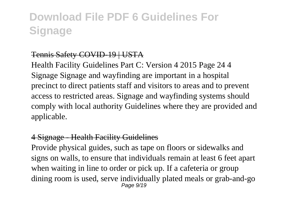#### Tennis Safety COVID-19 | USTA

Health Facility Guidelines Part C: Version 4 2015 Page 24 4 Signage Signage and wayfinding are important in a hospital precinct to direct patients staff and visitors to areas and to prevent access to restricted areas. Signage and wayfinding systems should comply with local authority Guidelines where they are provided and applicable.

#### 4 Signage - Health Facility Guidelines

Provide physical guides, such as tape on floors or sidewalks and signs on walls, to ensure that individuals remain at least 6 feet apart when waiting in line to order or pick up. If a cafeteria or group dining room is used, serve individually plated meals or grab-and-go Page 9/19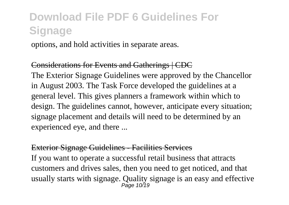options, and hold activities in separate areas.

#### Considerations for Events and Gatherings | CDC

The Exterior Signage Guidelines were approved by the Chancellor in August 2003. The Task Force developed the guidelines at a general level. This gives planners a framework within which to design. The guidelines cannot, however, anticipate every situation; signage placement and details will need to be determined by an experienced eye, and there ...

#### Exterior Signage Guidelines - Facilities Services

If you want to operate a successful retail business that attracts customers and drives sales, then you need to get noticed, and that usually starts with signage. Quality signage is an easy and effective Page 10/19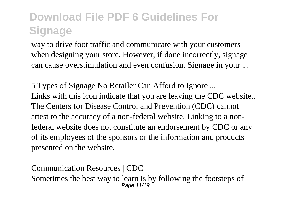way to drive foot traffic and communicate with your customers when designing your store. However, if done incorrectly, signage can cause overstimulation and even confusion. Signage in your ...

5 Types of Signage No Retailer Can Afford to Ignore ... Links with this icon indicate that you are leaving the CDC website.. The Centers for Disease Control and Prevention (CDC) cannot attest to the accuracy of a non-federal website. Linking to a nonfederal website does not constitute an endorsement by CDC or any of its employees of the sponsors or the information and products presented on the website.

#### Communication Resources | CDC

Sometimes the best way to learn is by following the footsteps of Page 11/19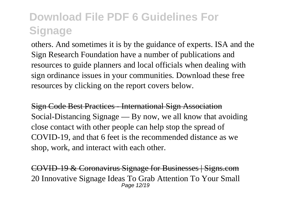others. And sometimes it is by the guidance of experts. ISA and the Sign Research Foundation have a number of publications and resources to guide planners and local officials when dealing with sign ordinance issues in your communities. Download these free resources by clicking on the report covers below.

Sign Code Best Practices - International Sign Association Social-Distancing Signage — By now, we all know that avoiding close contact with other people can help stop the spread of COVID-19, and that 6 feet is the recommended distance as we shop, work, and interact with each other.

COVID-19 & Coronavirus Signage for Businesses | Signs.com 20 Innovative Signage Ideas To Grab Attention To Your Small **Page 12/10**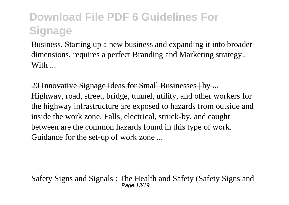Business. Starting up a new business and expanding it into broader dimensions, requires a perfect Branding and Marketing strategy.. With  $\Box$ 

20 Innovative Signage Ideas for Small Businesses | by ... Highway, road, street, bridge, tunnel, utility, and other workers for the highway infrastructure are exposed to hazards from outside and inside the work zone. Falls, electrical, struck-by, and caught between are the common hazards found in this type of work. Guidance for the set-up of work zone ...

Safety Signs and Signals : The Health and Safety (Safety Signs and Page 13/19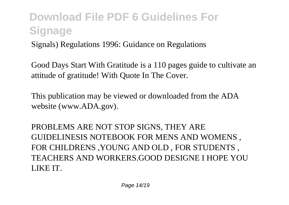Signals) Regulations 1996: Guidance on Regulations

Good Days Start With Gratitude is a 110 pages guide to cultivate an attitude of gratitude! With Quote In The Cover.

This publication may be viewed or downloaded from the ADA website (www.ADA.gov).

PROBLEMS ARE NOT STOP SIGNS, THEY ARE GUIDELINESIS NOTEBOOK FOR MENS AND WOMENS , FOR CHILDRENS ,YOUNG AND OLD , FOR STUDENTS , TEACHERS AND WORKERS.GOOD DESIGNE I HOPE YOU LIKE IT.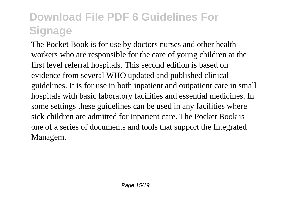The Pocket Book is for use by doctors nurses and other health workers who are responsible for the care of young children at the first level referral hospitals. This second edition is based on evidence from several WHO updated and published clinical guidelines. It is for use in both inpatient and outpatient care in small hospitals with basic laboratory facilities and essential medicines. In some settings these guidelines can be used in any facilities where sick children are admitted for inpatient care. The Pocket Book is one of a series of documents and tools that support the Integrated Managem.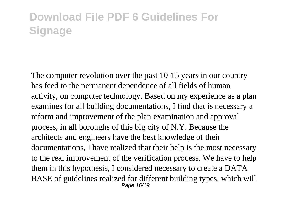The computer revolution over the past 10-15 years in our country has feed to the permanent dependence of all fields of human activity, on computer technology. Based on my experience as a plan examines for all building documentations, I find that is necessary a reform and improvement of the plan examination and approval process, in all boroughs of this big city of N.Y. Because the architects and engineers have the best knowledge of their documentations, I have realized that their help is the most necessary to the real improvement of the verification process. We have to help them in this hypothesis, I considered necessary to create a DATA BASE of guidelines realized for different building types, which will Page 16/19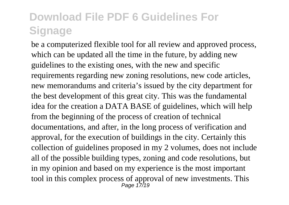be a computerized flexible tool for all review and approved process, which can be updated all the time in the future, by adding new guidelines to the existing ones, with the new and specific requirements regarding new zoning resolutions, new code articles, new memorandums and criteria's issued by the city department for the best development of this great city. This was the fundamental idea for the creation a DATA BASE of guidelines, which will help from the beginning of the process of creation of technical documentations, and after, in the long process of verification and approval, for the execution of buildings in the city. Certainly this collection of guidelines proposed in my 2 volumes, does not include all of the possible building types, zoning and code resolutions, but in my opinion and based on my experience is the most important tool in this complex process of approval of new investments. This  $P_{\text{age 17/19}}$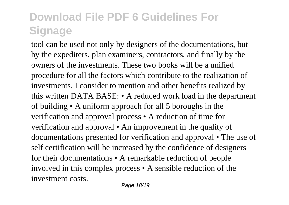tool can be used not only by designers of the documentations, but by the expediters, plan examiners, contractors, and finally by the owners of the investments. These two books will be a unified procedure for all the factors which contribute to the realization of investments. I consider to mention and other benefits realized by this written DATA BASE: • A reduced work load in the department of building • A uniform approach for all 5 boroughs in the verification and approval process • A reduction of time for verification and approval • An improvement in the quality of documentations presented for verification and approval • The use of self certification will be increased by the confidence of designers for their documentations • A remarkable reduction of people involved in this complex process • A sensible reduction of the investment costs.